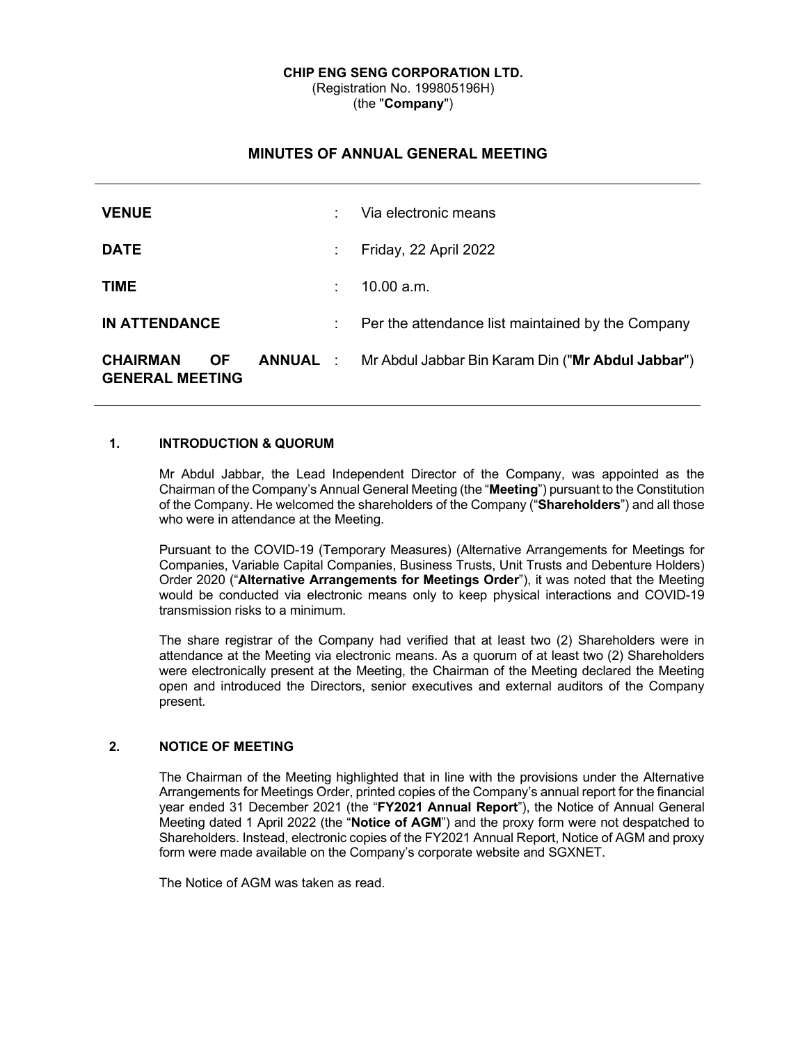#### **CHIP ENG SENG CORPORATION LTD.** (Registration No. 199805196H) (the "**Company**")

# **MINUTES OF ANNUAL GENERAL MEETING**

| <b>VENUE</b>                                           |    | Via electronic means                                              |
|--------------------------------------------------------|----|-------------------------------------------------------------------|
| <b>DATE</b>                                            | ÷  | Friday, 22 April 2022                                             |
| <b>TIME</b>                                            | t. | 10.00 a.m.                                                        |
| <b>IN ATTENDANCE</b>                                   | ÷. | Per the attendance list maintained by the Company                 |
| <b>CHAIRMAN</b><br><b>OF</b><br><b>GENERAL MEETING</b> |    | <b>ANNUAL</b> : Mr Abdul Jabbar Bin Karam Din ("Mr Abdul Jabbar") |

### **1. INTRODUCTION & QUORUM**

Mr Abdul Jabbar, the Lead Independent Director of the Company, was appointed as the Chairman of the Company's Annual General Meeting (the "**Meeting**") pursuant to the Constitution of the Company. He welcomed the shareholders of the Company ("**Shareholders**") and all those who were in attendance at the Meeting.

Pursuant to the COVID-19 (Temporary Measures) (Alternative Arrangements for Meetings for Companies, Variable Capital Companies, Business Trusts, Unit Trusts and Debenture Holders) Order 2020 ("**Alternative Arrangements for Meetings Order**"), it was noted that the Meeting would be conducted via electronic means only to keep physical interactions and COVID-19 transmission risks to a minimum.

The share registrar of the Company had verified that at least two (2) Shareholders were in attendance at the Meeting via electronic means. As a quorum of at least two (2) Shareholders were electronically present at the Meeting, the Chairman of the Meeting declared the Meeting open and introduced the Directors, senior executives and external auditors of the Company present.

## **2. NOTICE OF MEETING**

The Chairman of the Meeting highlighted that in line with the provisions under the Alternative Arrangements for Meetings Order, printed copies of the Company's annual report for the financial year ended 31 December 2021 (the "**FY2021 Annual Report**"), the Notice of Annual General Meeting dated 1 April 2022 (the "**Notice of AGM**") and the proxy form were not despatched to Shareholders. Instead, electronic copies of the FY2021 Annual Report, Notice of AGM and proxy form were made available on the Company's corporate website and SGXNET.

The Notice of AGM was taken as read.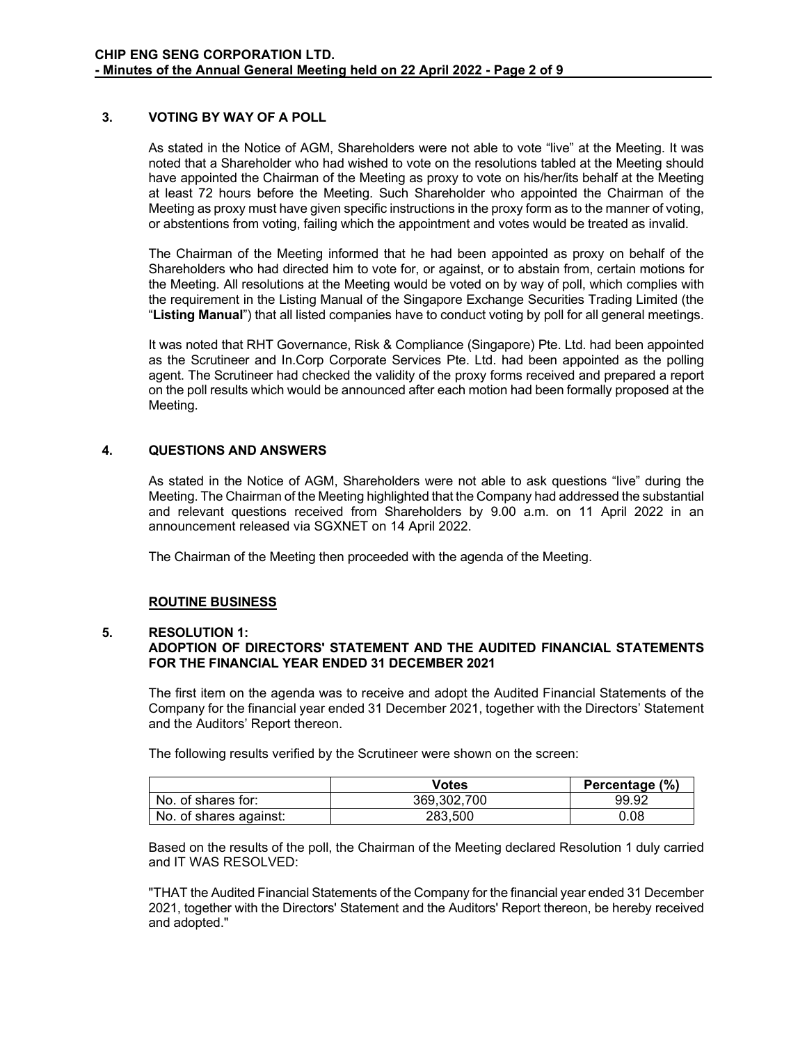### **3. VOTING BY WAY OF A POLL**

As stated in the Notice of AGM, Shareholders were not able to vote "live" at the Meeting. It was noted that a Shareholder who had wished to vote on the resolutions tabled at the Meeting should have appointed the Chairman of the Meeting as proxy to vote on his/her/its behalf at the Meeting at least 72 hours before the Meeting. Such Shareholder who appointed the Chairman of the Meeting as proxy must have given specific instructions in the proxy form as to the manner of voting, or abstentions from voting, failing which the appointment and votes would be treated as invalid.

The Chairman of the Meeting informed that he had been appointed as proxy on behalf of the Shareholders who had directed him to vote for, or against, or to abstain from, certain motions for the Meeting. All resolutions at the Meeting would be voted on by way of poll, which complies with the requirement in the Listing Manual of the Singapore Exchange Securities Trading Limited (the "**Listing Manual**") that all listed companies have to conduct voting by poll for all general meetings.

It was noted that RHT Governance, Risk & Compliance (Singapore) Pte. Ltd. had been appointed as the Scrutineer and In.Corp Corporate Services Pte. Ltd. had been appointed as the polling agent. The Scrutineer had checked the validity of the proxy forms received and prepared a report on the poll results which would be announced after each motion had been formally proposed at the Meeting.

### **4. QUESTIONS AND ANSWERS**

As stated in the Notice of AGM, Shareholders were not able to ask questions "live" during the Meeting. The Chairman of the Meeting highlighted that the Company had addressed the substantial and relevant questions received from Shareholders by 9.00 a.m. on 11 April 2022 in an announcement released via SGXNET on 14 April 2022.

The Chairman of the Meeting then proceeded with the agenda of the Meeting.

#### **ROUTINE BUSINESS**

#### **5. RESOLUTION 1:**

## **ADOPTION OF DIRECTORS' STATEMENT AND THE AUDITED FINANCIAL STATEMENTS FOR THE FINANCIAL YEAR ENDED 31 DECEMBER 2021**

The first item on the agenda was to receive and adopt the Audited Financial Statements of the Company for the financial year ended 31 December 2021, together with the Directors' Statement and the Auditors' Report thereon.

The following results verified by the Scrutineer were shown on the screen:

|                        | Votes       | Percentage (%) |
|------------------------|-------------|----------------|
| No. of shares for:     | 369.302.700 | 99.92          |
| No. of shares against: | 283.500     | 0.08           |

Based on the results of the poll, the Chairman of the Meeting declared Resolution 1 duly carried and IT WAS RESOLVED:

"THAT the Audited Financial Statements of the Company for the financial year ended 31 December 2021, together with the Directors' Statement and the Auditors' Report thereon, be hereby received and adopted."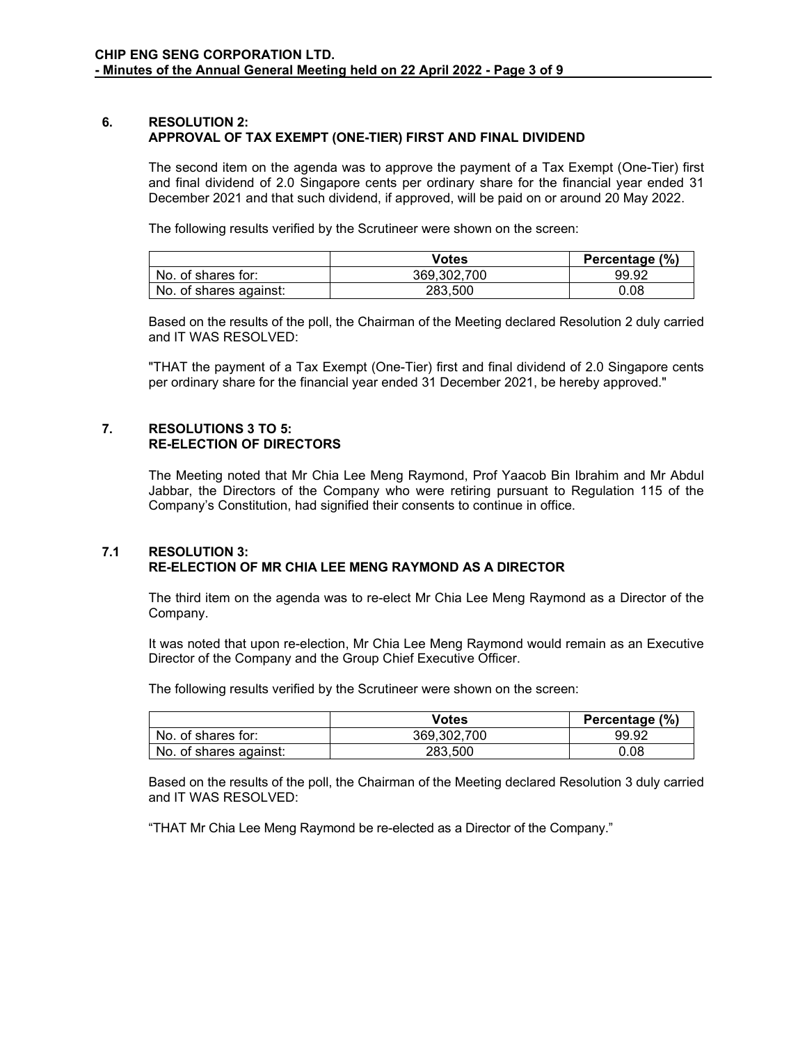#### **6. RESOLUTION 2: APPROVAL OF TAX EXEMPT (ONE-TIER) FIRST AND FINAL DIVIDEND**

The second item on the agenda was to approve the payment of a Tax Exempt (One-Tier) first and final dividend of 2.0 Singapore cents per ordinary share for the financial year ended 31 December 2021 and that such dividend, if approved, will be paid on or around 20 May 2022.

The following results verified by the Scrutineer were shown on the screen:

|                        | Votes       | Percentage (%) |
|------------------------|-------------|----------------|
| No. of shares for:     | 369.302.700 | 99.92          |
| No. of shares against: | 283.500     | 0.08           |

Based on the results of the poll, the Chairman of the Meeting declared Resolution 2 duly carried and IT WAS RESOLVED:

"THAT the payment of a Tax Exempt (One-Tier) first and final dividend of 2.0 Singapore cents per ordinary share for the financial year ended 31 December 2021, be hereby approved."

#### **7. RESOLUTIONS 3 TO 5: RE-ELECTION OF DIRECTORS**

The Meeting noted that Mr Chia Lee Meng Raymond, Prof Yaacob Bin Ibrahim and Mr Abdul Jabbar, the Directors of the Company who were retiring pursuant to Regulation 115 of the Company's Constitution, had signified their consents to continue in office.

## **7.1 RESOLUTION 3: RE-ELECTION OF MR CHIA LEE MENG RAYMOND AS A DIRECTOR**

The third item on the agenda was to re-elect Mr Chia Lee Meng Raymond as a Director of the Company.

It was noted that upon re-election, Mr Chia Lee Meng Raymond would remain as an Executive Director of the Company and the Group Chief Executive Officer.

The following results verified by the Scrutineer were shown on the screen:

|                        | Votes       | Percentage (%) |
|------------------------|-------------|----------------|
| No. of shares for:     | 369.302.700 | 99.92          |
| No. of shares against: | 283.500     | 0.08           |

Based on the results of the poll, the Chairman of the Meeting declared Resolution 3 duly carried and IT WAS RESOLVED:

"THAT Mr Chia Lee Meng Raymond be re-elected as a Director of the Company."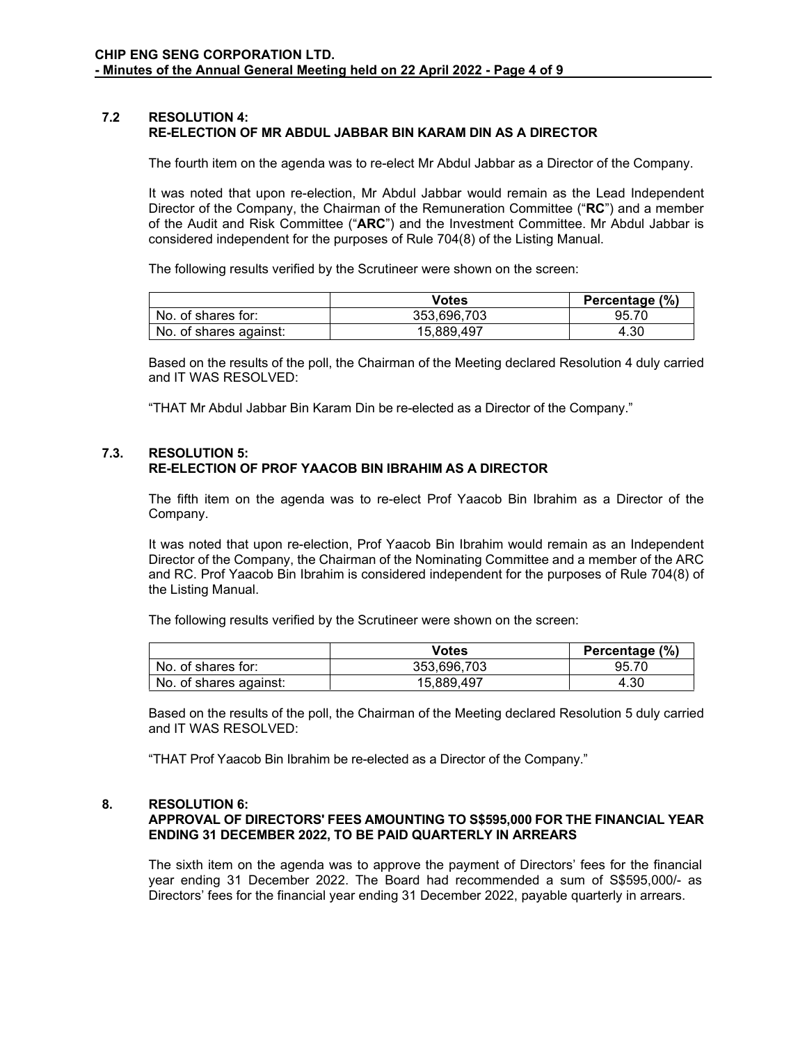### **7.2 RESOLUTION 4: RE-ELECTION OF MR ABDUL JABBAR BIN KARAM DIN AS A DIRECTOR**

The fourth item on the agenda was to re-elect Mr Abdul Jabbar as a Director of the Company.

It was noted that upon re-election, Mr Abdul Jabbar would remain as the Lead Independent Director of the Company, the Chairman of the Remuneration Committee ("**RC**") and a member of the Audit and Risk Committee ("**ARC**") and the Investment Committee. Mr Abdul Jabbar is considered independent for the purposes of Rule 704(8) of the Listing Manual.

The following results verified by the Scrutineer were shown on the screen:

|                        | Votes       | Percentage (%) |
|------------------------|-------------|----------------|
| No. of shares for:     | 353.696.703 | 95.70          |
| No. of shares against: | 15.889.497  | 4.30           |

Based on the results of the poll, the Chairman of the Meeting declared Resolution 4 duly carried and IT WAS RESOLVED:

"THAT Mr Abdul Jabbar Bin Karam Din be re-elected as a Director of the Company."

#### **7.3. RESOLUTION 5: RE-ELECTION OF PROF YAACOB BIN IBRAHIM AS A DIRECTOR**

The fifth item on the agenda was to re-elect Prof Yaacob Bin Ibrahim as a Director of the Company.

It was noted that upon re-election, Prof Yaacob Bin Ibrahim would remain as an Independent Director of the Company, the Chairman of the Nominating Committee and a member of the ARC and RC. Prof Yaacob Bin Ibrahim is considered independent for the purposes of Rule 704(8) of the Listing Manual.

The following results verified by the Scrutineer were shown on the screen:

|                        | Votes       | Percentage (%) |
|------------------------|-------------|----------------|
| No. of shares for:     | 353.696.703 | 95.70          |
| No. of shares against: | 15.889.497  | 4.30           |

Based on the results of the poll, the Chairman of the Meeting declared Resolution 5 duly carried and IT WAS RESOLVED:

"THAT Prof Yaacob Bin Ibrahim be re-elected as a Director of the Company."

#### **8. RESOLUTION 6:**

### **APPROVAL OF DIRECTORS' FEES AMOUNTING TO S\$595,000 FOR THE FINANCIAL YEAR ENDING 31 DECEMBER 2022, TO BE PAID QUARTERLY IN ARREARS**

The sixth item on the agenda was to approve the payment of Directors' fees for the financial year ending 31 December 2022. The Board had recommended a sum of S\$595,000/- as Directors' fees for the financial year ending 31 December 2022, payable quarterly in arrears.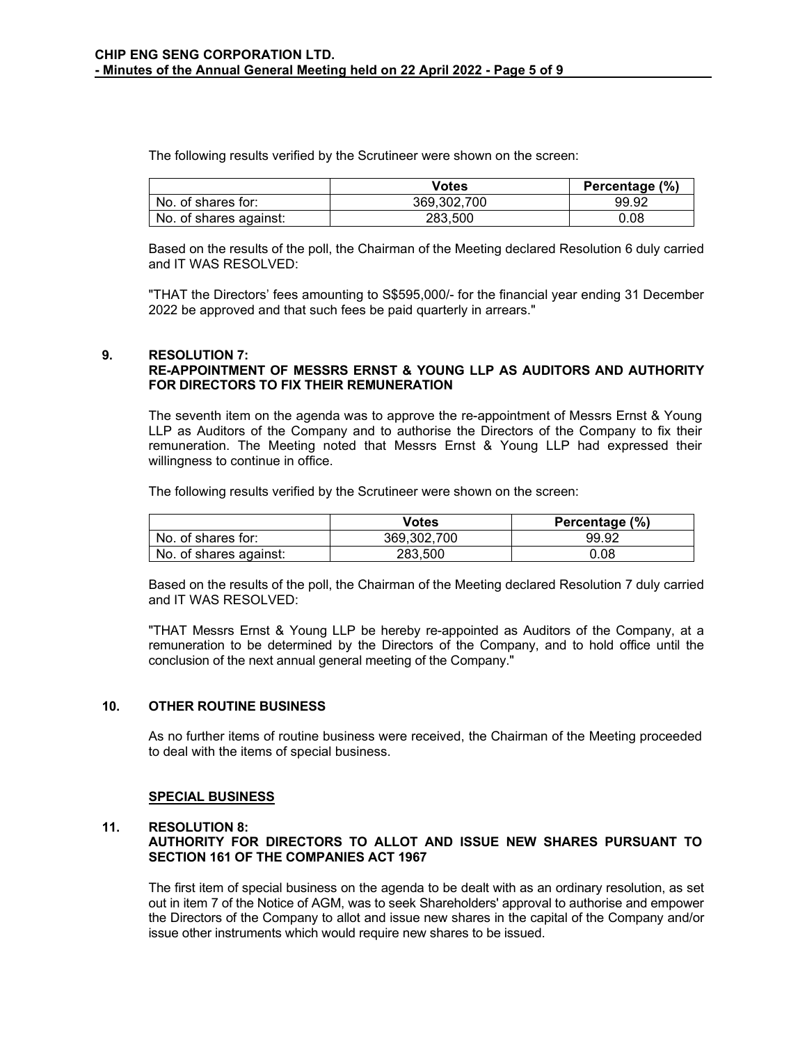The following results verified by the Scrutineer were shown on the screen:

|                        | Votes       | Percentage (%) |
|------------------------|-------------|----------------|
| No. of shares for:     | 369.302.700 | 99.92          |
| No. of shares against: | 283.500     | 0.08           |

Based on the results of the poll, the Chairman of the Meeting declared Resolution 6 duly carried and IT WAS RESOLVED:

"THAT the Directors' fees amounting to S\$595,000/- for the financial year ending 31 December 2022 be approved and that such fees be paid quarterly in arrears."

### **9. RESOLUTION 7:**

### **RE-APPOINTMENT OF MESSRS ERNST & YOUNG LLP AS AUDITORS AND AUTHORITY FOR DIRECTORS TO FIX THEIR REMUNERATION**

The seventh item on the agenda was to approve the re-appointment of Messrs Ernst & Young LLP as Auditors of the Company and to authorise the Directors of the Company to fix their remuneration. The Meeting noted that Messrs Ernst & Young LLP had expressed their willingness to continue in office.

The following results verified by the Scrutineer were shown on the screen:

|                        | Votes       | Percentage (%) |
|------------------------|-------------|----------------|
| No. of shares for:     | 369.302.700 | 99.92          |
| No. of shares against: | 283.500     | 0.08           |

Based on the results of the poll, the Chairman of the Meeting declared Resolution 7 duly carried and IT WAS RESOLVED:

"THAT Messrs Ernst & Young LLP be hereby re-appointed as Auditors of the Company, at a remuneration to be determined by the Directors of the Company, and to hold office until the conclusion of the next annual general meeting of the Company."

#### **10. OTHER ROUTINE BUSINESS**

As no further items of routine business were received, the Chairman of the Meeting proceeded to deal with the items of special business.

#### **SPECIAL BUSINESS**

#### **11. RESOLUTION 8:**

### **AUTHORITY FOR DIRECTORS TO ALLOT AND ISSUE NEW SHARES PURSUANT TO SECTION 161 OF THE COMPANIES ACT 1967**

The first item of special business on the agenda to be dealt with as an ordinary resolution, as set out in item 7 of the Notice of AGM, was to seek Shareholders' approval to authorise and empower the Directors of the Company to allot and issue new shares in the capital of the Company and/or issue other instruments which would require new shares to be issued.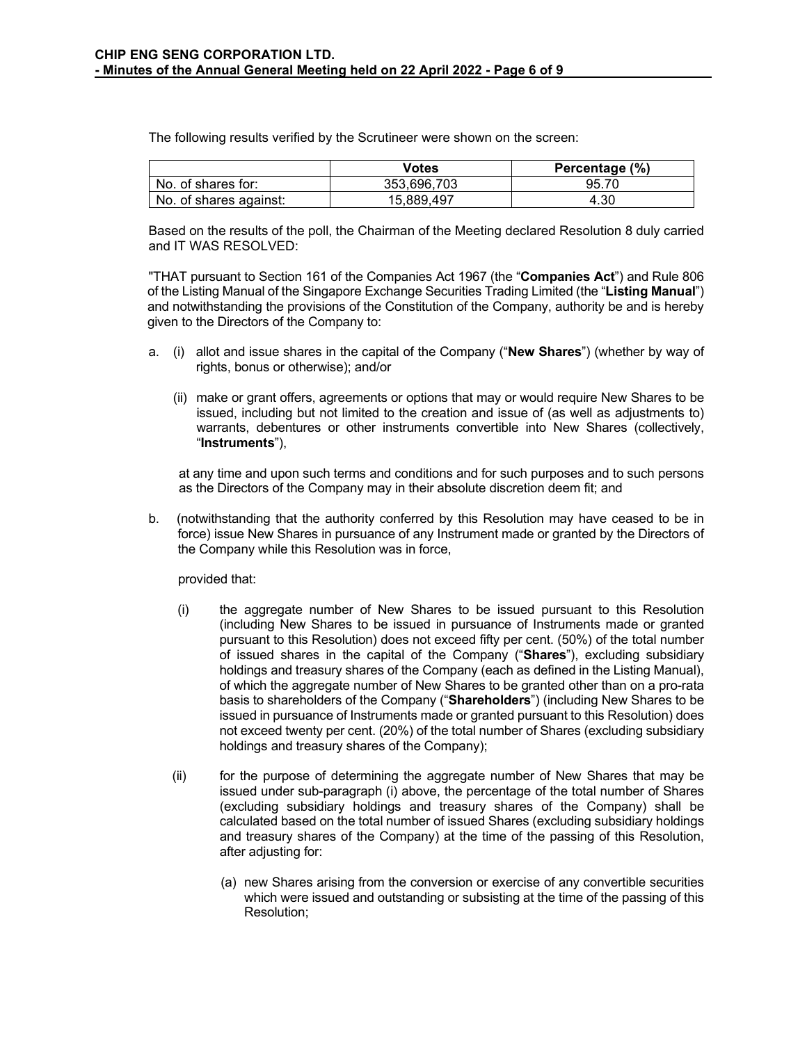The following results verified by the Scrutineer were shown on the screen:

|                        | Votes       | Percentage (%) |
|------------------------|-------------|----------------|
| No. of shares for:     | 353.696.703 | 95.70          |
| No. of shares against: | 15.889.497  | 4.30           |

Based on the results of the poll, the Chairman of the Meeting declared Resolution 8 duly carried and IT WAS RESOLVED:

"THAT pursuant to Section 161 of the Companies Act 1967 (the "**Companies Act**") and Rule 806 of the Listing Manual of the Singapore Exchange Securities Trading Limited (the "**Listing Manual**") and notwithstanding the provisions of the Constitution of the Company, authority be and is hereby given to the Directors of the Company to:

- a. (i) allot and issue shares in the capital of the Company ("**New Shares**") (whether by way of rights, bonus or otherwise); and/or
	- (ii) make or grant offers, agreements or options that may or would require New Shares to be issued, including but not limited to the creation and issue of (as well as adjustments to) warrants, debentures or other instruments convertible into New Shares (collectively, "**Instruments**"),

at any time and upon such terms and conditions and for such purposes and to such persons as the Directors of the Company may in their absolute discretion deem fit; and

b. (notwithstanding that the authority conferred by this Resolution may have ceased to be in force) issue New Shares in pursuance of any Instrument made or granted by the Directors of the Company while this Resolution was in force,

provided that:

- (i) the aggregate number of New Shares to be issued pursuant to this Resolution (including New Shares to be issued in pursuance of Instruments made or granted pursuant to this Resolution) does not exceed fifty per cent. (50%) of the total number of issued shares in the capital of the Company ("**Shares**"), excluding subsidiary holdings and treasury shares of the Company (each as defined in the Listing Manual), of which the aggregate number of New Shares to be granted other than on a pro-rata basis to shareholders of the Company ("**Shareholders**") (including New Shares to be issued in pursuance of Instruments made or granted pursuant to this Resolution) does not exceed twenty per cent. (20%) of the total number of Shares (excluding subsidiary holdings and treasury shares of the Company);
- (ii) for the purpose of determining the aggregate number of New Shares that may be issued under sub-paragraph (i) above, the percentage of the total number of Shares (excluding subsidiary holdings and treasury shares of the Company) shall be calculated based on the total number of issued Shares (excluding subsidiary holdings and treasury shares of the Company) at the time of the passing of this Resolution, after adjusting for:
	- (a) new Shares arising from the conversion or exercise of any convertible securities which were issued and outstanding or subsisting at the time of the passing of this Resolution;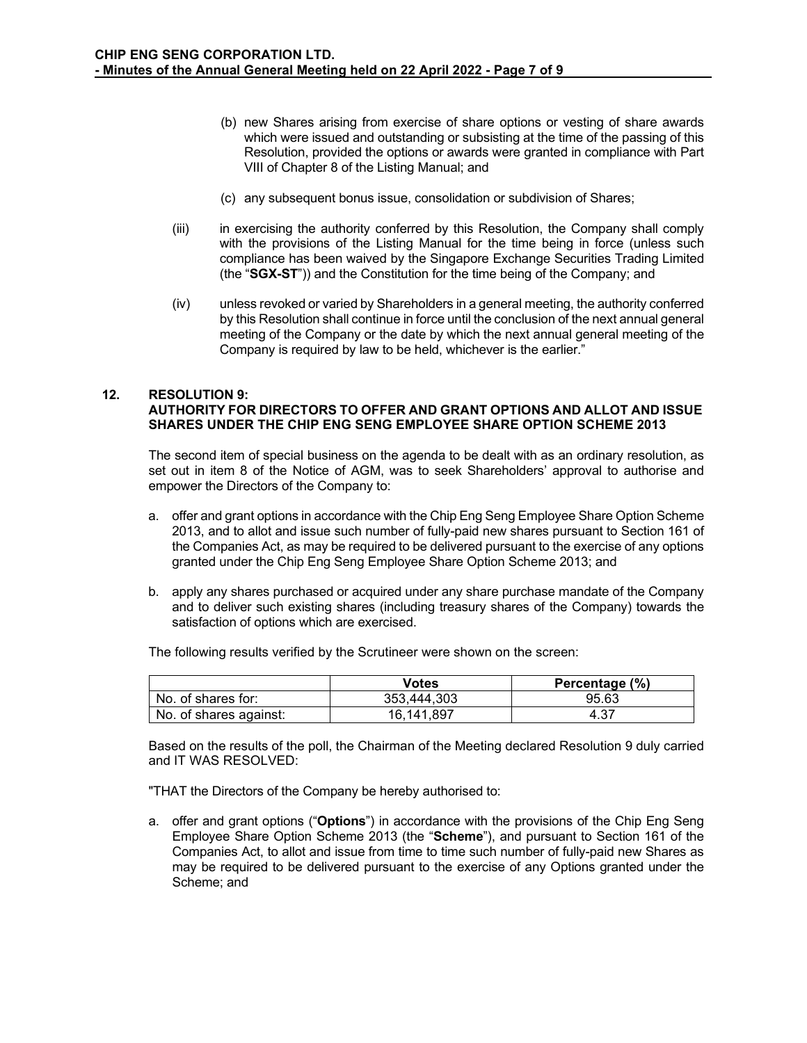- (b) new Shares arising from exercise of share options or vesting of share awards which were issued and outstanding or subsisting at the time of the passing of this Resolution, provided the options or awards were granted in compliance with Part VIII of Chapter 8 of the Listing Manual; and
- (c) any subsequent bonus issue, consolidation or subdivision of Shares;
- (iii) in exercising the authority conferred by this Resolution, the Company shall comply with the provisions of the Listing Manual for the time being in force (unless such compliance has been waived by the Singapore Exchange Securities Trading Limited (the "**SGX-ST**")) and the Constitution for the time being of the Company; and
- (iv) unless revoked or varied by Shareholders in a general meeting, the authority conferred by this Resolution shall continue in force until the conclusion of the next annual general meeting of the Company or the date by which the next annual general meeting of the Company is required by law to be held, whichever is the earlier."

### **12. RESOLUTION 9: AUTHORITY FOR DIRECTORS TO OFFER AND GRANT OPTIONS AND ALLOT AND ISSUE SHARES UNDER THE CHIP ENG SENG EMPLOYEE SHARE OPTION SCHEME 2013**

The second item of special business on the agenda to be dealt with as an ordinary resolution, as set out in item 8 of the Notice of AGM, was to seek Shareholders' approval to authorise and empower the Directors of the Company to:

- a. offer and grant options in accordance with the Chip Eng Seng Employee Share Option Scheme 2013, and to allot and issue such number of fully-paid new shares pursuant to Section 161 of the Companies Act, as may be required to be delivered pursuant to the exercise of any options granted under the Chip Eng Seng Employee Share Option Scheme 2013; and
- b. apply any shares purchased or acquired under any share purchase mandate of the Company and to deliver such existing shares (including treasury shares of the Company) towards the satisfaction of options which are exercised.

The following results verified by the Scrutineer were shown on the screen:

|                        | Votes       | Percentage (%) |
|------------------------|-------------|----------------|
| No. of shares for:     | 353.444.303 | 95.63          |
| No. of shares against: | 16.141.897  | 4.37           |

Based on the results of the poll, the Chairman of the Meeting declared Resolution 9 duly carried and IT WAS RESOLVED:

"THAT the Directors of the Company be hereby authorised to:

a. offer and grant options ("**Options**") in accordance with the provisions of the Chip Eng Seng Employee Share Option Scheme 2013 (the "**Scheme**"), and pursuant to Section 161 of the Companies Act, to allot and issue from time to time such number of fully-paid new Shares as may be required to be delivered pursuant to the exercise of any Options granted under the Scheme; and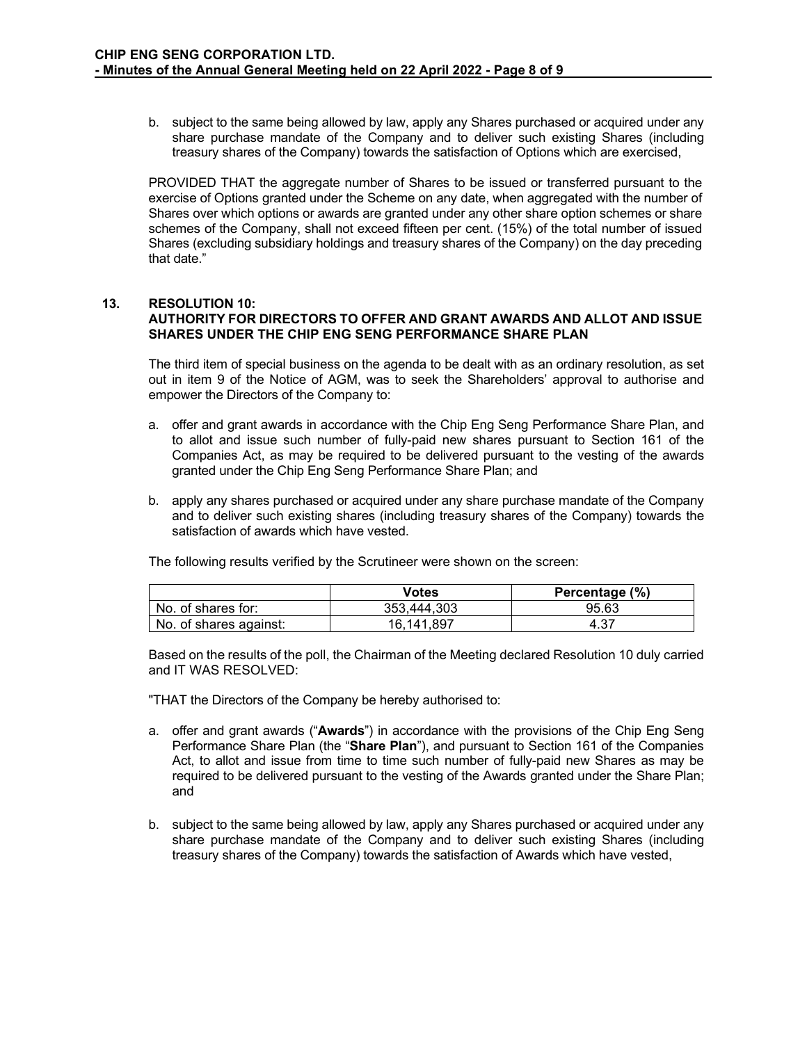b. subject to the same being allowed by law, apply any Shares purchased or acquired under any share purchase mandate of the Company and to deliver such existing Shares (including treasury shares of the Company) towards the satisfaction of Options which are exercised,

PROVIDED THAT the aggregate number of Shares to be issued or transferred pursuant to the exercise of Options granted under the Scheme on any date, when aggregated with the number of Shares over which options or awards are granted under any other share option schemes or share schemes of the Company, shall not exceed fifteen per cent. (15%) of the total number of issued Shares (excluding subsidiary holdings and treasury shares of the Company) on the day preceding that date."

# **13. RESOLUTION 10: AUTHORITY FOR DIRECTORS TO OFFER AND GRANT AWARDS AND ALLOT AND ISSUE SHARES UNDER THE CHIP ENG SENG PERFORMANCE SHARE PLAN**

The third item of special business on the agenda to be dealt with as an ordinary resolution, as set out in item 9 of the Notice of AGM, was to seek the Shareholders' approval to authorise and empower the Directors of the Company to:

- a. offer and grant awards in accordance with the Chip Eng Seng Performance Share Plan, and to allot and issue such number of fully-paid new shares pursuant to Section 161 of the Companies Act, as may be required to be delivered pursuant to the vesting of the awards granted under the Chip Eng Seng Performance Share Plan; and
- b. apply any shares purchased or acquired under any share purchase mandate of the Company and to deliver such existing shares (including treasury shares of the Company) towards the satisfaction of awards which have vested.

|                        | Votes       | Percentage (%) |
|------------------------|-------------|----------------|
| No. of shares for:     | 353.444.303 | 95.63          |
| No. of shares against: | 16.141.897  | 4.37           |

The following results verified by the Scrutineer were shown on the screen:

Based on the results of the poll, the Chairman of the Meeting declared Resolution 10 duly carried and IT WAS RESOLVED:

"THAT the Directors of the Company be hereby authorised to:

- a. offer and grant awards ("**Awards**") in accordance with the provisions of the Chip Eng Seng Performance Share Plan (the "**Share Plan**"), and pursuant to Section 161 of the Companies Act, to allot and issue from time to time such number of fully-paid new Shares as may be required to be delivered pursuant to the vesting of the Awards granted under the Share Plan; and
- b. subject to the same being allowed by law, apply any Shares purchased or acquired under any share purchase mandate of the Company and to deliver such existing Shares (including treasury shares of the Company) towards the satisfaction of Awards which have vested,